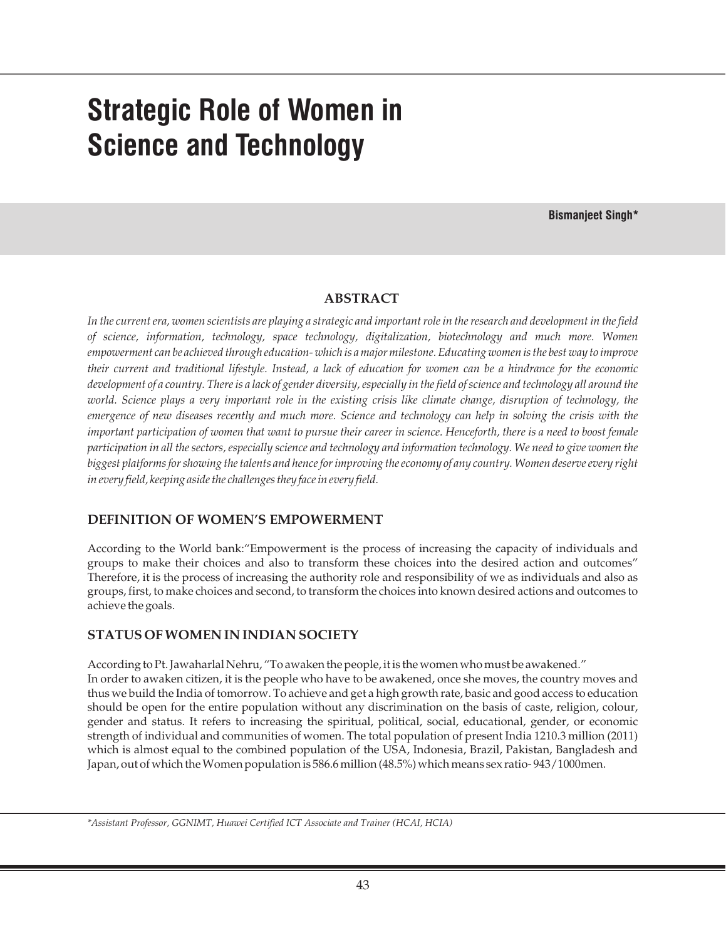# **Strategic Role of Women in Science and Technology**

**Bismanjeet Singh\***

#### **ABSTRACT**

*In the current era, women scientists are playing a strategic and important role in the research and development in the field of science, information, technology, space technology, digitalization, biotechnology and much more. Women empowerment can be achieved through education- which is a major milestone. Educating women is the best way to improve their current and traditional lifestyle. Instead, a lack of education for women can be a hindrance for the economic development of a country. There is a lack of gender diversity, especially in the field of science and technology all around the world. Science plays a very important role in the existing crisis like climate change, disruption of technology, the emergence of new diseases recently and much more. Science and technology can help in solving the crisis with the important participation of women that want to pursue their career in science. Henceforth, there is a need to boost female participation in all the sectors, especially science and technology and information technology. We need to give women the biggest platforms for showing the talents and hence for improving the economy of any country. Women deserve every right in every field, keeping aside the challenges they face in every field.*

# **DEFINITION OF WOMEN'S EMPOWERMENT**

According to the World bank:"Empowerment is the process of increasing the capacity of individuals and groups to make their choices and also to transform these choices into the desired action and outcomes" Therefore, it is the process of increasing the authority role and responsibility of we as individuals and also as groups, first, to make choices and second, to transform the choices into known desired actions and outcomes to achieve the goals.

#### **STATUS OF WOMEN IN INDIAN SOCIETY**

According to Pt. Jawaharlal Nehru, "To awaken the people, it is the women who must be awakened." In order to awaken citizen, it is the people who have to be awakened, once she moves, the country moves and thus we build the India of tomorrow. To achieve and get a high growth rate, basic and good access to education should be open for the entire population without any discrimination on the basis of caste, religion, colour, gender and status. It refers to increasing the spiritual, political, social, educational, gender, or economic strength of individual and communities of women. The total population of present India 1210.3 million (2011) which is almost equal to the combined population of the USA, Indonesia, Brazil, Pakistan, Bangladesh and Japan, out of which the Women population is 586.6 million (48.5%) which means sex ratio- 943/1000men.

*\*Assistant Professor, GGNIMT, Huawei Certified ICT Associate and Trainer (HCAI, HCIA)*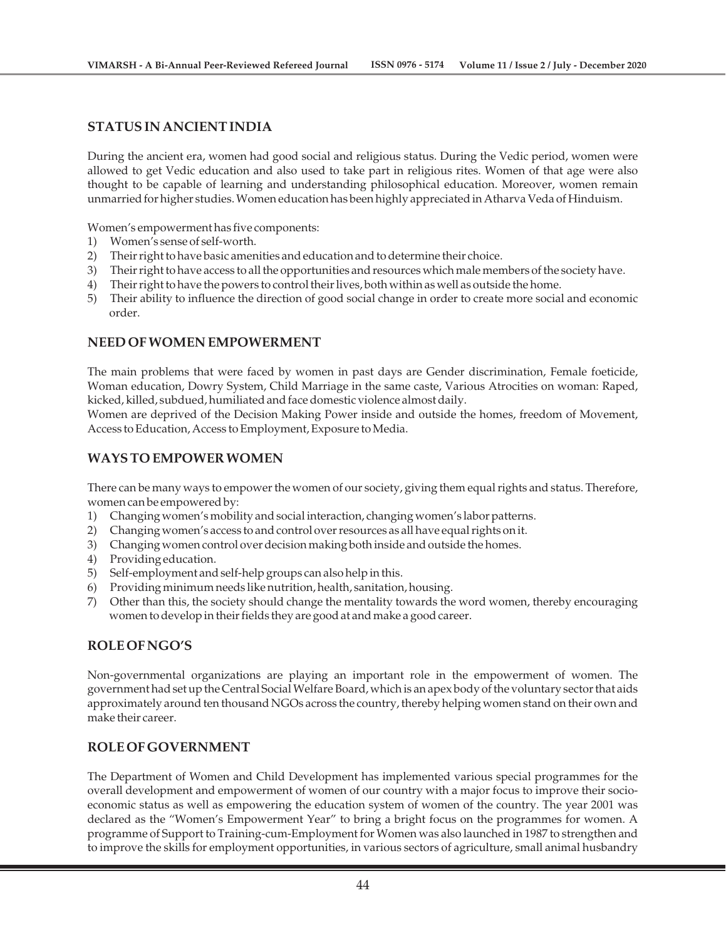#### **STATUS IN ANCIENT INDIA**

During the ancient era, women had good social and religious status. During the Vedic period, women were allowed to get Vedic education and also used to take part in religious rites. Women of that age were also thought to be capable of learning and understanding philosophical education. Moreover, women remain unmarried for higher studies. Women education has been highly appreciated in Atharva Veda of Hinduism.

Women's empowerment has five components:

- 1) Women's sense of self-worth.
- 2) Their right to have basic amenities and education and to determine their choice.
- 3) Their right to have access to all the opportunities and resources which male members of the society have.
- 4) Their right to have the powers to control their lives, both within as well as outside the home.
- 5) Their ability to influence the direction of good social change in order to create more social and economic order.

# **NEED OF WOMEN EMPOWERMENT**

The main problems that were faced by women in past days are Gender discrimination, Female foeticide, Woman education, Dowry System, Child Marriage in the same caste, Various Atrocities on woman: Raped, kicked, killed, subdued, humiliated and face domestic violence almost daily.

Women are deprived of the Decision Making Power inside and outside the homes, freedom of Movement, Access to Education, Access to Employment, Exposure to Media.

#### **WAYS TO EMPOWER WOMEN**

There can be many ways to empower the women of our society, giving them equal rights and status. Therefore, women can be empowered by:

- 1) Changing women's mobility and social interaction, changing women's labor patterns.
- 2) Changing women's access to and control over resources as all have equal rights on it.
- 3) Changing women control over decision making both inside and outside the homes.
- 4) Providing education.
- 5) Self-employment and self-help groups can also help in this.
- 6) Providing minimum needs like nutrition, health, sanitation, housing.
- 7) Other than this, the society should change the mentality towards the word women, thereby encouraging women to develop in their fields they are good at and make a good career.

# **ROLE OF NGO'S**

Non-governmental organizations are playing an important role in the empowerment of women. The government had set up the Central Social Welfare Board, which is an apex body of the voluntary sector that aids approximately around ten thousand NGOs across the country, thereby helping women stand on their own and make their career.

# **ROLE OF GOVERNMENT**

The Department of Women and Child Development has implemented various special programmes for the overall development and empowerment of women of our country with a major focus to improve their socioeconomic status as well as empowering the education system of women of the country. The year 2001 was declared as the "Women's Empowerment Year" to bring a bright focus on the programmes for women. A programme of Support to Training-cum-Employment for Women was also launched in 1987 to strengthen and to improve the skills for employment opportunities, in various sectors of agriculture, small animal husbandry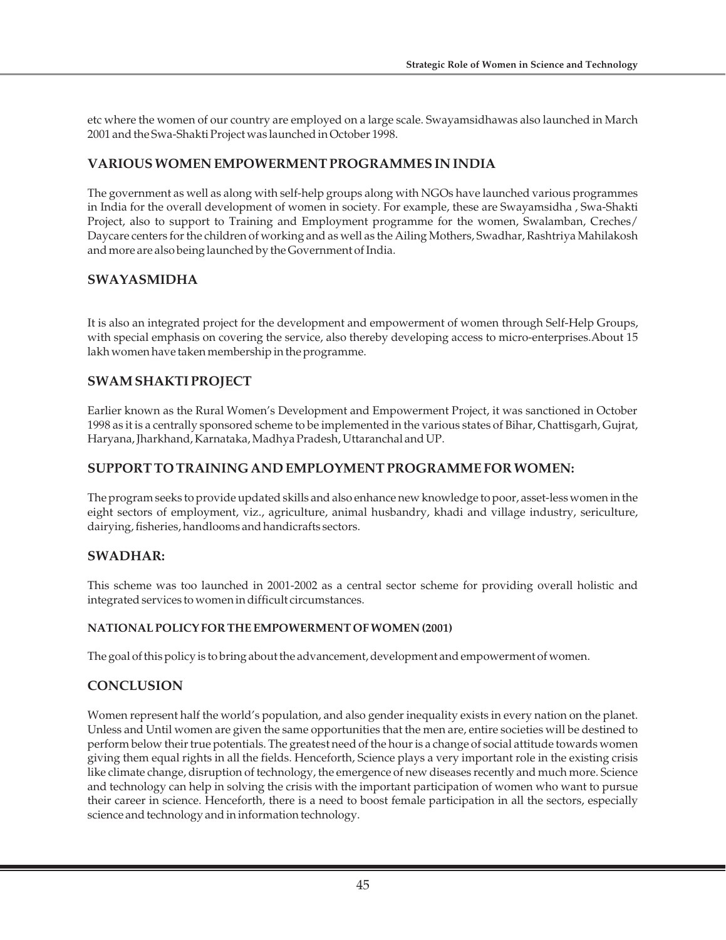etc where the women of our country are employed on a large scale. Swayamsidhawas also launched in March 2001 and the Swa-Shakti Project was launched in October 1998.

# **VARIOUS WOMEN EMPOWERMENT PROGRAMMES IN INDIA**

The government as well as along with self-help groups along with NGOs have launched various programmes in India for the overall development of women in society. For example, these are Swayamsidha , Swa-Shakti Project, also to support to Training and Employment programme for the women, Swalamban, Creches/ Daycare centers for the children of working and as well as the Ailing Mothers, Swadhar, Rashtriya Mahilakosh and more are also being launched by the Government of India.

# **SWAYASMIDHA**

It is also an integrated project for the development and empowerment of women through Self-Help Groups, with special emphasis on covering the service, also thereby developing access to micro-enterprises.About 15 lakh women have taken membership in the programme.

# **SWAM SHAKTI PROJECT**

Earlier known as the Rural Women's Development and Empowerment Project, it was sanctioned in October 1998 as it is a centrally sponsored scheme to be implemented in the various states of Bihar, Chattisgarh, Gujrat, Haryana, Jharkhand, Karnataka, Madhya Pradesh, Uttaranchal and UP.

# **SUPPORT TO TRAINING AND EMPLOYMENT PROGRAMME FOR WOMEN:**

The program seeks to provide updated skills and also enhance new knowledge to poor, asset-less women in the eight sectors of employment, viz., agriculture, animal husbandry, khadi and village industry, sericulture, dairying, fisheries, handlooms and handicrafts sectors.

# **SWADHAR:**

This scheme was too launched in 2001-2002 as a central sector scheme for providing overall holistic and integrated services to women in difficult circumstances.

# **NATIONAL POLICY FOR THE EMPOWERMENT OF WOMEN (2001)**

The goal of this policy is to bring about the advancement, development and empowerment of women.

# **CONCLUSION**

Women represent half the world's population, and also gender inequality exists in every nation on the planet. Unless and Until women are given the same opportunities that the men are, entire societies will be destined to perform below their true potentials. The greatest need of the hour is a change of social attitude towards women giving them equal rights in all the fields. Henceforth, Science plays a very important role in the existing crisis like climate change, disruption of technology, the emergence of new diseases recently and much more. Science and technology can help in solving the crisis with the important participation of women who want to pursue their career in science. Henceforth, there is a need to boost female participation in all the sectors, especially science and technology and in information technology.